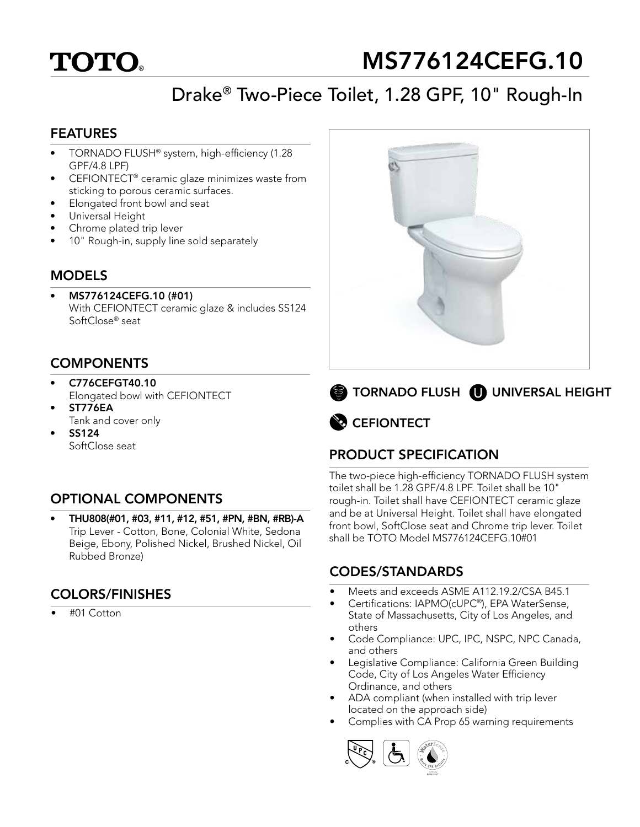

# MS776124CEFG.10

## Drake® Two-Piece Toilet, 1.28 GPF, 10" Rough-In

#### FEATURES

- TORNADO FLUSH® system, high-efficiency (1.28 GPF/4.8 LPF)
- CEFIONTECT<sup>®</sup> ceramic glaze minimizes waste from sticking to porous ceramic surfaces.
- Elongated front bowl and seat
- Universal Height
- Chrome plated trip lever
- 10" Rough-in, supply line sold separately

#### MODELS

• MS776124CEFG.10 (#01) With CEFIONTECT ceramic glaze & includes SS124 SoftClose® seat

## **COMPONENTS**

- C776CEFGT40.10 Elongated bowl with CEFIONTECT
- ST776EA Tank and cover only
- SS124 SoftClose seat

## OPTIONAL COMPONENTS

• THU808(#01, #03, #11, #12, #51, #PN, #BN, #RB)-A Trip Lever - Cotton, Bone, Colonial White, Sedona Beige, Ebony, Polished Nickel, Brushed Nickel, Oil Rubbed Bronze)

## COLORS/FINISHES

• #01 Cotton



**TORNADO FLUSH 1 UNIVERSAL HEIGHT** 

**B** CEFIONTECT

## PRODUCT SPECIFICATION

The two-piece high-efficiency TORNADO FLUSH system toilet shall be 1.28 GPF/4.8 LPF. Toilet shall be 10" rough-in. Toilet shall have CEFIONTECT ceramic glaze and be at Universal Height. Toilet shall have elongated front bowl, SoftClose seat and Chrome trip lever. Toilet shall be TOTO Model MS776124CEFG.10#01

### CODES/STANDARDS

- Meets and exceeds ASME A112.19.2/CSA B45.1
- Certifications: IAPMO(cUPC®), EPA WaterSense, State of Massachusetts, City of Los Angeles, and others
- Code Compliance: UPC, IPC, NSPC, NPC Canada, and others
- Legislative Compliance: California Green Building Code, City of Los Angeles Water Efficiency Ordinance, and others
- ADA compliant (when installed with trip lever located on the approach side)
- Complies with CA Prop 65 warning requirements